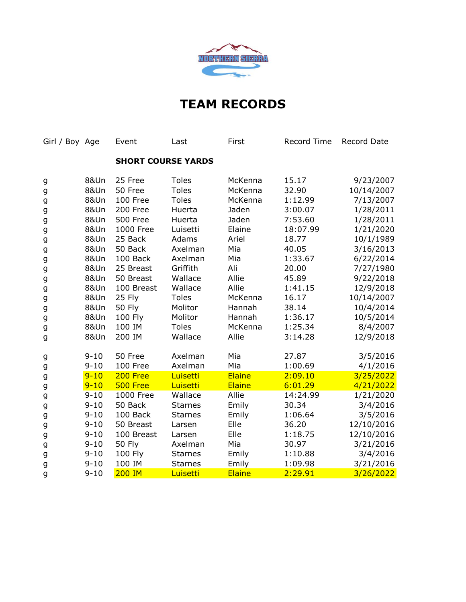

| Girl / Boy Age |                 | Event            | Last                      | First   | Record Time | Record Date |
|----------------|-----------------|------------------|---------------------------|---------|-------------|-------------|
|                |                 |                  | <b>SHORT COURSE YARDS</b> |         |             |             |
| g              | 8&Un            | 25 Free          | <b>Toles</b>              | McKenna | 15.17       | 9/23/2007   |
| g              | <b>8&amp;Un</b> | 50 Free          | <b>Toles</b>              | McKenna | 32.90       | 10/14/2007  |
| g              | <b>8&amp;Un</b> | 100 Free         | <b>Toles</b>              | McKenna | 1:12.99     | 7/13/2007   |
| g              | <b>8&amp;Un</b> | 200 Free         | Huerta                    | Jaden   | 3:00.07     | 1/28/2011   |
| g              | <b>8&amp;Un</b> | <b>500 Free</b>  | Huerta                    | Jaden   | 7:53.60     | 1/28/2011   |
| g              | <b>8&amp;Un</b> | <b>1000 Free</b> | Luisetti                  | Elaine  | 18:07.99    | 1/21/2020   |
| g              | <b>8&amp;Un</b> | 25 Back          | Adams                     | Ariel   | 18.77       | 10/1/1989   |
| g              | <b>8&amp;Un</b> | 50 Back          | Axelman                   | Mia     | 40.05       | 3/16/2013   |
| g              | <b>8&amp;Un</b> | 100 Back         | Axelman                   | Mia     | 1:33.67     | 6/22/2014   |
| g              | <b>8&amp;Un</b> | 25 Breast        | Griffith                  | Ali     | 20.00       | 7/27/1980   |
| g              | <b>8&amp;Un</b> | 50 Breast        | Wallace                   | Allie   | 45.89       | 9/22/2018   |
| g              | <b>8&amp;Un</b> | 100 Breast       | Wallace                   | Allie   | 1:41.15     | 12/9/2018   |
| g              | <b>8&amp;Un</b> | 25 Fly           | <b>Toles</b>              | McKenna | 16.17       | 10/14/2007  |
| g              | <b>8&amp;Un</b> | <b>50 Fly</b>    | Molitor                   | Hannah  | 38.14       | 10/4/2014   |
| g              | <b>8&amp;Un</b> | 100 Fly          | Molitor                   | Hannah  | 1:36.17     | 10/5/2014   |
| g              | <b>8&amp;Un</b> | 100 IM           | <b>Toles</b>              | McKenna | 1:25.34     | 8/4/2007    |
| g              | 8&Un            | 200 IM           | Wallace                   | Allie   | 3:14.28     | 12/9/2018   |
| g              | $9 - 10$        | 50 Free          | Axelman                   | Mia     | 27.87       | 3/5/2016    |
| g              | $9 - 10$        | 100 Free         | Axelman                   | Mia     | 1:00.69     | 4/1/2016    |
| g              | $9 - 10$        | 200 Free         | Luisetti                  | Elaine  | 2:09.10     | 3/25/2022   |
| g              | $9 - 10$        | 500 Free         | Luisetti                  | Elaine  | 6:01.29     | 4/21/2022   |
| g              | $9 - 10$        | 1000 Free        | Wallace                   | Allie   | 14:24.99    | 1/21/2020   |
| g              | $9 - 10$        | 50 Back          | <b>Starnes</b>            | Emily   | 30.34       | 3/4/2016    |
| g              | $9 - 10$        | 100 Back         | <b>Starnes</b>            | Emily   | 1:06.64     | 3/5/2016    |
| g              | $9 - 10$        | 50 Breast        | Larsen                    | Elle    | 36.20       | 12/10/2016  |
| g              | $9 - 10$        | 100 Breast       | Larsen                    | Elle    | 1:18.75     | 12/10/2016  |
| g              | $9 - 10$        | <b>50 Fly</b>    | Axelman                   | Mia     | 30.97       | 3/21/2016   |
| g              | $9 - 10$        | 100 Fly          | <b>Starnes</b>            | Emily   | 1:10.88     | 3/4/2016    |
| g              | $9 - 10$        | 100 IM           | <b>Starnes</b>            | Emily   | 1:09.98     | 3/21/2016   |
| g              | $9 - 10$        | <b>200 IM</b>    | Luisetti                  | Elaine  | 2:29.91     | 3/26/2022   |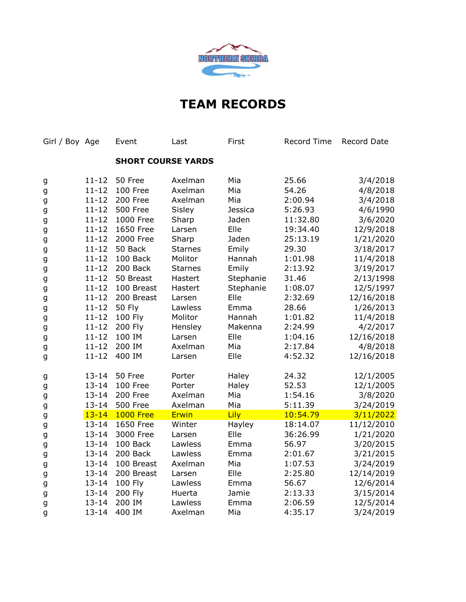

| Girl / Boy Age |           | Event                     | Last           | First     | Record Time | Record Date |
|----------------|-----------|---------------------------|----------------|-----------|-------------|-------------|
|                |           | <b>SHORT COURSE YARDS</b> |                |           |             |             |
| g              | $11 - 12$ | 50 Free                   | Axelman        | Mia       | 25.66       | 3/4/2018    |
| g              | $11 - 12$ | 100 Free                  | Axelman        | Mia       | 54.26       | 4/8/2018    |
| g              | $11 - 12$ | 200 Free                  | Axelman        | Mia       | 2:00.94     | 3/4/2018    |
| g              | $11 - 12$ | 500 Free                  | Sisley         | Jessica   | 5:26.93     | 4/6/1990    |
| g              | $11 - 12$ | 1000 Free                 | Sharp          | Jaden     | 11:32.80    | 3/6/2020    |
| g              | $11 - 12$ | 1650 Free                 | Larsen         | Elle      | 19:34.40    | 12/9/2018   |
| g              | $11 - 12$ | 2000 Free                 | Sharp          | Jaden     | 25:13.19    | 1/21/2020   |
| g              | $11 - 12$ | 50 Back                   | <b>Starnes</b> | Emily     | 29.30       | 3/18/2017   |
| g              | $11 - 12$ | 100 Back                  | Molitor        | Hannah    | 1:01.98     | 11/4/2018   |
| g              | $11 - 12$ | 200 Back                  | <b>Starnes</b> | Emily     | 2:13.92     | 3/19/2017   |
| g              | $11 - 12$ | 50 Breast                 | Hastert        | Stephanie | 31.46       | 2/13/1998   |
| g              | $11 - 12$ | 100 Breast                | Hastert        | Stephanie | 1:08.07     | 12/5/1997   |
| g              | $11 - 12$ | 200 Breast                | Larsen         | Elle      | 2:32.69     | 12/16/2018  |
| g              | $11 - 12$ | <b>50 Fly</b>             | Lawless        | Emma      | 28.66       | 1/26/2013   |
| g              | $11 - 12$ | 100 Fly                   | Molitor        | Hannah    | 1:01.82     | 11/4/2018   |
| g              | $11 - 12$ | 200 Fly                   | Hensley        | Makenna   | 2:24.99     | 4/2/2017    |
| g              | $11 - 12$ | 100 IM                    | Larsen         | Elle      | 1:04.16     | 12/16/2018  |
| g              | $11 - 12$ | 200 IM                    | Axelman        | Mia       | 2:17.84     | 4/8/2018    |
| g              | $11 - 12$ | 400 IM                    | Larsen         | Elle      | 4:52.32     | 12/16/2018  |
| g              | $13 - 14$ | 50 Free                   | Porter         | Haley     | 24.32       | 12/1/2005   |
| g              | $13 - 14$ | 100 Free                  | Porter         | Haley     | 52.53       | 12/1/2005   |
| g              | $13 - 14$ | 200 Free                  | Axelman        | Mia       | 1:54.16     | 3/8/2020    |
| g              | $13 - 14$ | 500 Free                  | Axelman        | Mia       | 5:11.39     | 3/24/2019   |
| g              | $13 - 14$ | <b>1000 Free</b>          | <b>Erwin</b>   | Lily      | 10:54.79    | 3/11/2022   |
| g              | $13 - 14$ | 1650 Free                 | Winter         | Hayley    | 18:14.07    | 11/12/2010  |
| g              | $13 - 14$ | 3000 Free                 | Larsen         | Elle      | 36:26.99    | 1/21/2020   |
| g              | $13 - 14$ | 100 Back                  | Lawless        | Emma      | 56.97       | 3/20/2015   |
| g              | $13 - 14$ | 200 Back                  | Lawless        | Emma      | 2:01.67     | 3/21/2015   |
| g              | $13 - 14$ | 100 Breast                | Axelman        | Mia       | 1:07.53     | 3/24/2019   |
| g              | $13 - 14$ | 200 Breast                | Larsen         | Elle      | 2:25.80     | 12/14/2019  |
| g              | $13 - 14$ | 100 Fly                   | Lawless        | Emma      | 56.67       | 12/6/2014   |
| g              | $13 - 14$ | 200 Fly                   | Huerta         | Jamie     | 2:13.33     | 3/15/2014   |
| g              | $13 - 14$ | 200 IM                    | Lawless        | Emma      | 2:06.59     | 12/5/2014   |
| g              | $13 - 14$ | 400 IM                    | Axelman        | Mia       | 4:35.17     | 3/24/2019   |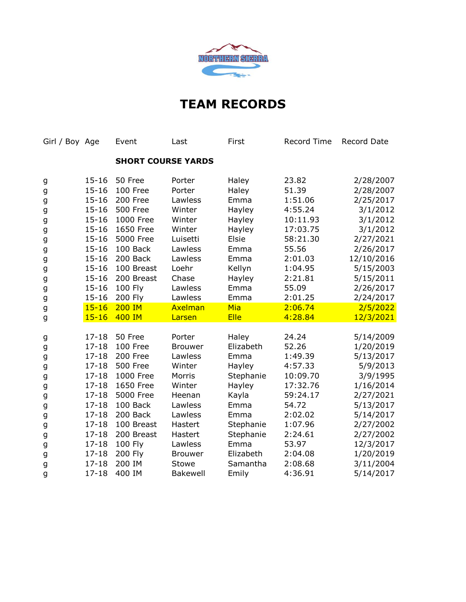

| Girl / Boy Age |           | Event           | Last                      | First       | Record Time | Record Date |
|----------------|-----------|-----------------|---------------------------|-------------|-------------|-------------|
|                |           |                 | <b>SHORT COURSE YARDS</b> |             |             |             |
| g              | $15 - 16$ | 50 Free         | Porter                    | Haley       | 23.82       | 2/28/2007   |
| g              | $15 - 16$ | 100 Free        | Porter                    | Haley       | 51.39       | 2/28/2007   |
| g              | $15 - 16$ | 200 Free        | Lawless                   | Emma        | 1:51.06     | 2/25/2017   |
| g              | $15 - 16$ | <b>500 Free</b> | Winter                    | Hayley      | 4:55.24     | 3/1/2012    |
| g              | $15 - 16$ | 1000 Free       | Winter                    | Hayley      | 10:11.93    | 3/1/2012    |
| g              | $15 - 16$ | 1650 Free       | Winter                    | Hayley      | 17:03.75    | 3/1/2012    |
| g              | $15 - 16$ | 5000 Free       | Luisetti                  | Elsie       | 58:21.30    | 2/27/2021   |
| g              | $15 - 16$ | 100 Back        | Lawless                   | Emma        | 55.56       | 2/26/2017   |
| g              | $15 - 16$ | 200 Back        | Lawless                   | Emma        | 2:01.03     | 12/10/2016  |
| g              | $15 - 16$ | 100 Breast      | Loehr                     | Kellyn      | 1:04.95     | 5/15/2003   |
| g              | $15 - 16$ | 200 Breast      | Chase                     | Hayley      | 2:21.81     | 5/15/2011   |
| g              | $15 - 16$ | 100 Fly         | Lawless                   | Emma        | 55.09       | 2/26/2017   |
| g              | $15 - 16$ | 200 Fly         | Lawless                   | Emma        | 2:01.25     | 2/24/2017   |
| g              | $15 - 16$ | <b>200 IM</b>   | Axelman                   | Mia         | 2:06.74     | 2/5/2022    |
| g              | $15 - 16$ | 400 IM          | Larsen                    | <b>Elle</b> | 4:28.84     | 12/3/2021   |
| g              | $17 - 18$ | 50 Free         | Porter                    | Haley       | 24.24       | 5/14/2009   |
| g              | $17 - 18$ | 100 Free        | <b>Brouwer</b>            | Elizabeth   | 52.26       | 1/20/2019   |
| g              | $17 - 18$ | 200 Free        | Lawless                   | Emma        | 1:49.39     | 5/13/2017   |
| g              | $17 - 18$ | <b>500 Free</b> | Winter                    | Hayley      | 4:57.33     | 5/9/2013    |
| g              | $17 - 18$ | 1000 Free       | Morris                    | Stephanie   | 10:09.70    | 3/9/1995    |
| g              | $17 - 18$ | 1650 Free       | Winter                    | Hayley      | 17:32.76    | 1/16/2014   |
| g              | $17 - 18$ | 5000 Free       | Heenan                    | Kayla       | 59:24.17    | 2/27/2021   |
| g              | $17 - 18$ | 100 Back        | Lawless                   | Emma        | 54.72       | 5/13/2017   |
| g              | $17 - 18$ | 200 Back        | Lawless                   | Emma        | 2:02.02     | 5/14/2017   |
| g              | $17 - 18$ | 100 Breast      | Hastert                   | Stephanie   | 1:07.96     | 2/27/2002   |
| g              | $17 - 18$ | 200 Breast      | Hastert                   | Stephanie   | 2:24.61     | 2/27/2002   |
| g              | $17 - 18$ | 100 Fly         | Lawless                   | Emma        | 53.97       | 12/3/2017   |
| g              | $17 - 18$ | 200 Fly         | <b>Brouwer</b>            | Elizabeth   | 2:04.08     | 1/20/2019   |
| g              | $17 - 18$ | 200 IM          | Stowe                     | Samantha    | 2:08.68     | 3/11/2004   |
| g              | $17 - 18$ | 400 IM          | <b>Bakewell</b>           | Emily       | 4:36.91     | 5/14/2017   |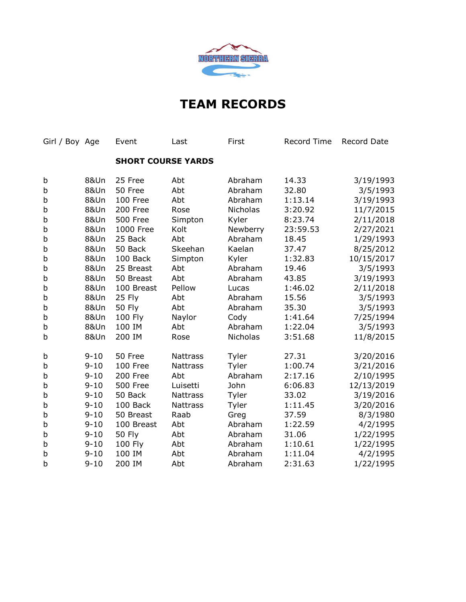

| Girl / Boy Age |                 | Event                     | Last            | First           | Record Time | Record Date |
|----------------|-----------------|---------------------------|-----------------|-----------------|-------------|-------------|
|                |                 | <b>SHORT COURSE YARDS</b> |                 |                 |             |             |
| b              | <b>8&amp;Un</b> | 25 Free                   | Abt             | Abraham         | 14.33       | 3/19/1993   |
| b              | <b>8&amp;Un</b> | 50 Free                   | Abt             | Abraham         | 32.80       | 3/5/1993    |
| b              | <b>8&amp;Un</b> | 100 Free                  | Abt             | Abraham         | 1:13.14     | 3/19/1993   |
| b              | <b>8&amp;Un</b> | 200 Free                  | Rose            | <b>Nicholas</b> | 3:20.92     | 11/7/2015   |
| b              | <b>8&amp;Un</b> | <b>500 Free</b>           | Simpton         | Kyler           | 8:23.74     | 2/11/2018   |
| b              | <b>8&amp;Un</b> | 1000 Free                 | Kolt            | Newberry        | 23:59.53    | 2/27/2021   |
| b              | <b>8&amp;Un</b> | 25 Back                   | Abt             | Abraham         | 18.45       | 1/29/1993   |
| b              | <b>8&amp;Un</b> | 50 Back                   | Skeehan         | Kaelan          | 37.47       | 8/25/2012   |
| b              | <b>8&amp;Un</b> | 100 Back                  | Simpton         | Kyler           | 1:32.83     | 10/15/2017  |
| b              | <b>8&amp;Un</b> | 25 Breast                 | Abt             | Abraham         | 19.46       | 3/5/1993    |
| b              | <b>8&amp;Un</b> | 50 Breast                 | Abt             | Abraham         | 43.85       | 3/19/1993   |
| b              | <b>8&amp;Un</b> | 100 Breast                | Pellow          | Lucas           | 1:46.02     | 2/11/2018   |
| b              | <b>8&amp;Un</b> | 25 Fly                    | Abt             | Abraham         | 15.56       | 3/5/1993    |
| b              | <b>8&amp;Un</b> | <b>50 Fly</b>             | Abt             | Abraham         | 35.30       | 3/5/1993    |
| b              | <b>8&amp;Un</b> | 100 Fly                   | Naylor          | Cody            | 1:41.64     | 7/25/1994   |
| b              | <b>8&amp;Un</b> | 100 IM                    | Abt             | Abraham         | 1:22.04     | 3/5/1993    |
| b              | <b>8&amp;Un</b> | 200 IM                    | Rose            | <b>Nicholas</b> | 3:51.68     | 11/8/2015   |
| b              | $9 - 10$        | 50 Free                   | <b>Nattrass</b> | Tyler           | 27.31       | 3/20/2016   |
| b              | $9 - 10$        | 100 Free                  | <b>Nattrass</b> | Tyler           | 1:00.74     | 3/21/2016   |
| b              | $9 - 10$        | 200 Free                  | Abt             | Abraham         | 2:17.16     | 2/10/1995   |
| b              | $9 - 10$        | <b>500 Free</b>           | Luisetti        | John            | 6:06.83     | 12/13/2019  |
| b              | $9 - 10$        | 50 Back                   | <b>Nattrass</b> | Tyler           | 33.02       | 3/19/2016   |
| b              | $9 - 10$        | 100 Back                  | <b>Nattrass</b> | Tyler           | 1:11.45     | 3/20/2016   |
| b              | $9 - 10$        | 50 Breast                 | Raab            | Greg            | 37.59       | 8/3/1980    |
| b              | $9 - 10$        | 100 Breast                | Abt             | Abraham         | 1:22.59     | 4/2/1995    |
| b              | $9 - 10$        | <b>50 Fly</b>             | Abt             | Abraham         | 31.06       | 1/22/1995   |
| b              | $9 - 10$        | 100 Fly                   | Abt             | Abraham         | 1:10.61     | 1/22/1995   |
| b              | $9 - 10$        | 100 IM                    | Abt             | Abraham         | 1:11.04     | 4/2/1995    |
| b              | $9 - 10$        | 200 IM                    | Abt             | Abraham         | 2:31.63     | 1/22/1995   |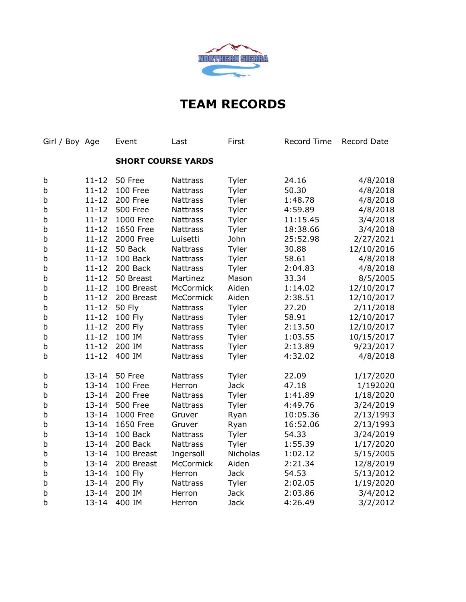

| Girl / Boy Age |           | Event                     | Last            | First       | <b>Record Time</b> | Record Date |
|----------------|-----------|---------------------------|-----------------|-------------|--------------------|-------------|
|                |           | <b>SHORT COURSE YARDS</b> |                 |             |                    |             |
| b              | $11 - 12$ | 50 Free                   | <b>Nattrass</b> | Tyler       | 24.16              | 4/8/2018    |
| b              | $11 - 12$ | 100 Free                  | <b>Nattrass</b> | Tyler       | 50.30              | 4/8/2018    |
| b              | $11 - 12$ | 200 Free                  | <b>Nattrass</b> | Tyler       | 1:48.78            | 4/8/2018    |
| b              | $11 - 12$ | <b>500 Free</b>           | <b>Nattrass</b> | Tyler       | 4:59.89            | 4/8/2018    |
| b              | $11 - 12$ | 1000 Free                 | <b>Nattrass</b> | Tyler       | 11:15.45           | 3/4/2018    |
| b              | $11 - 12$ | 1650 Free                 | <b>Nattrass</b> | Tyler       | 18:38.66           | 3/4/2018    |
| b              | $11 - 12$ | 2000 Free                 | Luisetti        | John        | 25:52.98           | 2/27/2021   |
| b              | $11 - 12$ | 50 Back                   | <b>Nattrass</b> | Tyler       | 30.88              | 12/10/2016  |
| b              | $11 - 12$ | 100 Back                  | <b>Nattrass</b> | Tyler       | 58.61              | 4/8/2018    |
| b              | $11 - 12$ | 200 Back                  | <b>Nattrass</b> | Tyler       | 2:04.83            | 4/8/2018    |
| b              | $11 - 12$ | 50 Breast                 | Martinez        | Mason       | 33.34              | 8/5/2005    |
| b              | $11 - 12$ | 100 Breast                | McCormick       | Aiden       | 1:14.02            | 12/10/2017  |
| b              | $11 - 12$ | 200 Breast                | McCormick       | Aiden       | 2:38.51            | 12/10/2017  |
| b              | $11 - 12$ | <b>50 Fly</b>             | <b>Nattrass</b> | Tyler       | 27.20              | 2/11/2018   |
| b              | $11 - 12$ | 100 Fly                   | Nattrass        | Tyler       | 58.91              | 12/10/2017  |
| b              | $11 - 12$ | 200 Fly                   | <b>Nattrass</b> | Tyler       | 2:13.50            | 12/10/2017  |
| b              | $11 - 12$ | 100 IM                    | <b>Nattrass</b> | Tyler       | 1:03.55            | 10/15/2017  |
| b              | $11 - 12$ | 200 IM                    | Nattrass        | Tyler       | 2:13.89            | 9/23/2017   |
| b              | $11 - 12$ | 400 IM                    | <b>Nattrass</b> | Tyler       | 4:32.02            | 4/8/2018    |
| b              | $13 - 14$ | 50 Free                   | <b>Nattrass</b> | Tyler       | 22.09              | 1/17/2020   |
| b              | $13 - 14$ | 100 Free                  | Herron          | <b>Jack</b> | 47.18              | 1/192020    |
| b              | $13 - 14$ | 200 Free                  | <b>Nattrass</b> | Tyler       | 1:41.89            | 1/18/2020   |
| b              | $13 - 14$ | <b>500 Free</b>           | <b>Nattrass</b> | Tyler       | 4:49.76            | 3/24/2019   |
| b              | $13 - 14$ | 1000 Free                 | Gruver          | Ryan        | 10:05.36           | 2/13/1993   |
| b              | $13 - 14$ | 1650 Free                 | Gruver          | Ryan        | 16:52.06           | 2/13/1993   |
| b              | $13 - 14$ | 100 Back                  | <b>Nattrass</b> | Tyler       | 54.33              | 3/24/2019   |
| b              | $13 - 14$ | 200 Back                  | <b>Nattrass</b> | Tyler       | 1:55.39            | 1/17/2020   |
| b              | $13 - 14$ | 100 Breast                | Ingersoll       | Nicholas    | 1:02.12            | 5/15/2005   |
| b              | $13 - 14$ | 200 Breast                | McCormick       | Aiden       | 2:21.34            | 12/8/2019   |
| b              | $13 - 14$ | 100 Fly                   | Herron          | <b>Jack</b> | 54.53              | 5/13/2012   |
| b              | $13 - 14$ | 200 Fly                   | Nattrass        | Tyler       | 2:02.05            | 1/19/2020   |
| b              | $13 - 14$ | 200 IM                    | Herron          | <b>Jack</b> | 2:03.86            | 3/4/2012    |
| b              | $13 - 14$ | 400 IM                    | Herron          | <b>Jack</b> | 4:26.49            | 3/2/2012    |
|                |           |                           |                 |             |                    |             |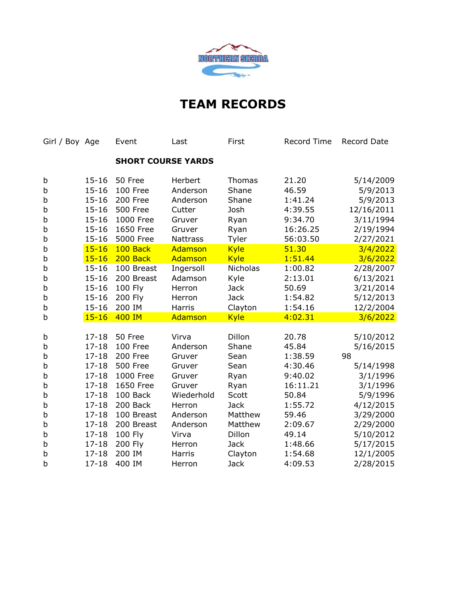

| Girl / Boy Age |           | Event                     | Last            | First       | Record Time | Record Date |
|----------------|-----------|---------------------------|-----------------|-------------|-------------|-------------|
|                |           | <b>SHORT COURSE YARDS</b> |                 |             |             |             |
| b              | $15 - 16$ | 50 Free                   | Herbert         | Thomas      | 21.20       | 5/14/2009   |
| b              | $15 - 16$ | 100 Free                  | Anderson        | Shane       | 46.59       | 5/9/2013    |
| b              | $15 - 16$ | 200 Free                  | Anderson        | Shane       | 1:41.24     | 5/9/2013    |
| b              | $15 - 16$ | <b>500 Free</b>           | Cutter          | Josh        | 4:39.55     | 12/16/2011  |
| b              | $15 - 16$ | 1000 Free                 | Gruver          | Ryan        | 9:34.70     | 3/11/1994   |
| b              | $15 - 16$ | 1650 Free                 | Gruver          | Ryan        | 16:26.25    | 2/19/1994   |
| b              | $15 - 16$ | 5000 Free                 | <b>Nattrass</b> | Tyler       | 56:03.50    | 2/27/2021   |
| b              | $15 - 16$ | 100 Back                  | Adamson         | <b>Kyle</b> | 51.30       | 3/4/2022    |
| b              | $15 - 16$ | 200 Back                  | Adamson         | <b>Kyle</b> | 1:51.44     | 3/6/2022    |
| b              | $15 - 16$ | 100 Breast                | Ingersoll       | Nicholas    | 1:00.82     | 2/28/2007   |
| b              | $15 - 16$ | 200 Breast                | Adamson         | Kyle        | 2:13.01     | 6/13/2021   |
| b              | $15 - 16$ | 100 Fly                   | Herron          | <b>Jack</b> | 50.69       | 3/21/2014   |
| b              | $15 - 16$ | <b>200 Fly</b>            | Herron          | <b>Jack</b> | 1:54.82     | 5/12/2013   |
| b              | $15 - 16$ | 200 IM                    | Harris          | Clayton     | 1:54.16     | 12/2/2004   |
| b              | $15 - 16$ | 400 IM                    | Adamson         | <b>Kyle</b> | 4:02.31     | 3/6/2022    |
|                |           |                           |                 |             |             |             |
| b              | $17 - 18$ | 50 Free                   | Virva           | Dillon      | 20.78       | 5/10/2012   |
| b              | $17 - 18$ | 100 Free                  | Anderson        | Shane       | 45.84       | 5/16/2015   |
| b              | $17 - 18$ | 200 Free                  | Gruver          | Sean        | 1:38.59     | 98          |
| b              | $17 - 18$ | <b>500 Free</b>           | Gruver          | Sean        | 4:30.46     | 5/14/1998   |
| b              | $17 - 18$ | 1000 Free                 | Gruver          | Ryan        | 9:40.02     | 3/1/1996    |
| b              | $17 - 18$ | 1650 Free                 | Gruver          | Ryan        | 16:11.21    | 3/1/1996    |
| b              | $17 - 18$ | 100 Back                  | Wiederhold      | Scott       | 50.84       | 5/9/1996    |
| b              | $17 - 18$ | 200 Back                  | Herron          | <b>Jack</b> | 1:55.72     | 4/12/2015   |
| b              | $17 - 18$ | 100 Breast                | Anderson        | Matthew     | 59.46       | 3/29/2000   |
| b              | $17 - 18$ | 200 Breast                | Anderson        | Matthew     | 2:09.67     | 2/29/2000   |
| b              | $17 - 18$ | 100 Fly                   | Virva           | Dillon      | 49.14       | 5/10/2012   |
| b              | $17 - 18$ | 200 Fly                   | Herron          | <b>Jack</b> | 1:48.66     | 5/17/2015   |
| b              | $17 - 18$ | 200 IM                    | Harris          | Clayton     | 1:54.68     | 12/1/2005   |
| b              | $17 - 18$ | 400 IM                    | Herron          | <b>Jack</b> | 4:09.53     | 2/28/2015   |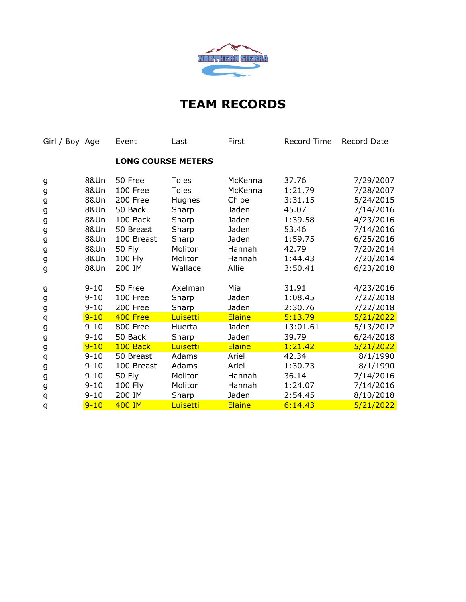

| Girl / Boy Age |                 | Event      | Last                      | First   | Record Time | Record Date |
|----------------|-----------------|------------|---------------------------|---------|-------------|-------------|
|                |                 |            | <b>LONG COURSE METERS</b> |         |             |             |
| g              | <b>8&amp;Un</b> | 50 Free    | <b>Toles</b>              | McKenna | 37.76       | 7/29/2007   |
| g              | <b>8&amp;Un</b> | 100 Free   | <b>Toles</b>              | McKenna | 1:21.79     | 7/28/2007   |
| g              | 8&Un            | 200 Free   | Hughes                    | Chloe   | 3:31.15     | 5/24/2015   |
| g              | 8&Un            | 50 Back    | Sharp                     | Jaden   | 45.07       | 7/14/2016   |
| g              | 8&Un            | 100 Back   | Sharp                     | Jaden   | 1:39.58     | 4/23/2016   |
| g              | 8&Un            | 50 Breast  | Sharp                     | Jaden   | 53.46       | 7/14/2016   |
| g              | 8&Un            | 100 Breast | Sharp                     | Jaden   | 1:59.75     | 6/25/2016   |
| g              | <b>8&amp;Un</b> | 50 Fly     | Molitor                   | Hannah  | 42.79       | 7/20/2014   |
| g              | 8&Un            | 100 Fly    | Molitor                   | Hannah  | 1:44.43     | 7/20/2014   |
| g              | 8&Un            | 200 IM     | Wallace                   | Allie   | 3:50.41     | 6/23/2018   |
| g              | $9 - 10$        | 50 Free    | Axelman                   | Mia     | 31.91       | 4/23/2016   |
| g              | $9 - 10$        | 100 Free   | Sharp                     | Jaden   | 1:08.45     | 7/22/2018   |
| g              | $9 - 10$        | 200 Free   | Sharp                     | Jaden   | 2:30.76     | 7/22/2018   |
| g              | $9 - 10$        | 400 Free   | Luisetti                  | Elaine  | 5:13.79     | 5/21/2022   |
| g              | $9 - 10$        | 800 Free   | Huerta                    | Jaden   | 13:01.61    | 5/13/2012   |
| g              | $9 - 10$        | 50 Back    | Sharp                     | Jaden   | 39.79       | 6/24/2018   |
| g              | $9 - 10$        | 100 Back   | Luisetti                  | Elaine  | 1:21.42     | 5/21/2022   |
| g              | $9 - 10$        | 50 Breast  | Adams                     | Ariel   | 42.34       | 8/1/1990    |
| g              | $9 - 10$        | 100 Breast | Adams                     | Ariel   | 1:30.73     | 8/1/1990    |
| g              | $9 - 10$        | 50 Fly     | Molitor                   | Hannah  | 36.14       | 7/14/2016   |
| g              | $9 - 10$        | 100 Fly    | Molitor                   | Hannah  | 1:24.07     | 7/14/2016   |
| g              | $9 - 10$        | 200 IM     | Sharp                     | Jaden   | 2:54.45     | 8/10/2018   |
| g              | $9 - 10$        | 400 IM     | Luisetti                  | Elaine  | 6:14.43     | 5/21/2022   |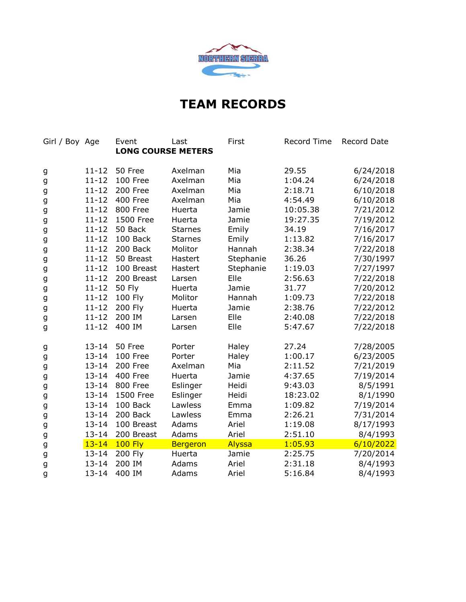

| Girl / Boy Age |           | Event                     | Last            | First     | <b>Record Time</b> | Record Date |
|----------------|-----------|---------------------------|-----------------|-----------|--------------------|-------------|
|                |           | <b>LONG COURSE METERS</b> |                 |           |                    |             |
| g              | $11 - 12$ | 50 Free                   | Axelman         | Mia       | 29.55              | 6/24/2018   |
| g              | $11 - 12$ | 100 Free                  | Axelman         | Mia       | 1:04.24            | 6/24/2018   |
| g              | $11 - 12$ | 200 Free                  | Axelman         | Mia       | 2:18.71            | 6/10/2018   |
| g              | $11 - 12$ | 400 Free                  | Axelman         | Mia       | 4:54.49            | 6/10/2018   |
| g              | $11 - 12$ | 800 Free                  | Huerta          | Jamie     | 10:05.38           | 7/21/2012   |
| g              | $11 - 12$ | 1500 Free                 | Huerta          | Jamie     | 19:27.35           | 7/19/2012   |
| g              | $11 - 12$ | 50 Back                   | <b>Starnes</b>  | Emily     | 34.19              | 7/16/2017   |
| g              | $11 - 12$ | 100 Back                  | <b>Starnes</b>  | Emily     | 1:13.82            | 7/16/2017   |
| g              | $11 - 12$ | 200 Back                  | Molitor         | Hannah    | 2:38.34            | 7/22/2018   |
| g              | $11 - 12$ | 50 Breast                 | Hastert         | Stephanie | 36.26              | 7/30/1997   |
| g              | $11 - 12$ | 100 Breast                | Hastert         | Stephanie | 1:19.03            | 7/27/1997   |
| g              | $11 - 12$ | 200 Breast                | Larsen          | Elle      | 2:56.63            | 7/22/2018   |
| g              | $11 - 12$ | <b>50 Fly</b>             | Huerta          | Jamie     | 31.77              | 7/20/2012   |
| g              | $11 - 12$ | 100 Fly                   | Molitor         | Hannah    | 1:09.73            | 7/22/2018   |
| g              | $11 - 12$ | 200 Fly                   | Huerta          | Jamie     | 2:38.76            | 7/22/2012   |
| g              | $11 - 12$ | 200 IM                    | Larsen          | Elle      | 2:40.08            | 7/22/2018   |
| g              | $11 - 12$ | 400 IM                    | Larsen          | Elle      | 5:47.67            | 7/22/2018   |
| g              | $13 - 14$ | 50 Free                   | Porter          | Haley     | 27.24              | 7/28/2005   |
| g              | $13 - 14$ | 100 Free                  | Porter          | Haley     | 1:00.17            | 6/23/2005   |
| g              | $13 - 14$ | 200 Free                  | Axelman         | Mia       | 2:11.52            | 7/21/2019   |
| g              | $13 - 14$ | 400 Free                  | Huerta          | Jamie     | 4:37.65            | 7/19/2014   |
| g              | $13 - 14$ | 800 Free                  | Eslinger        | Heidi     | 9:43.03            | 8/5/1991    |
| g              | $13 - 14$ | 1500 Free                 | Eslinger        | Heidi     | 18:23.02           | 8/1/1990    |
| g              | $13 - 14$ | 100 Back                  | Lawless         | Emma      | 1:09.82            | 7/19/2014   |
| g              | $13 - 14$ | 200 Back                  | Lawless         | Emma      | 2:26.21            | 7/31/2014   |
| g              | $13 - 14$ | 100 Breast                | Adams           | Ariel     | 1:19.08            | 8/17/1993   |
| g              | $13 - 14$ | 200 Breast                | Adams           | Ariel     | 2:51.10            | 8/4/1993    |
| g              | $13 - 14$ | <b>100 Fly</b>            | <b>Bergeron</b> | Alyssa    | 1:05.93            | 6/10/2022   |
| g              | $13 - 14$ | 200 Fly                   | Huerta          | Jamie     | 2:25.75            | 7/20/2014   |
| g              | $13 - 14$ | 200 IM                    | Adams           | Ariel     | 2:31.18            | 8/4/1993    |
| g              | $13 - 14$ | 400 IM                    | Adams           | Ariel     | 5:16.84            | 8/4/1993    |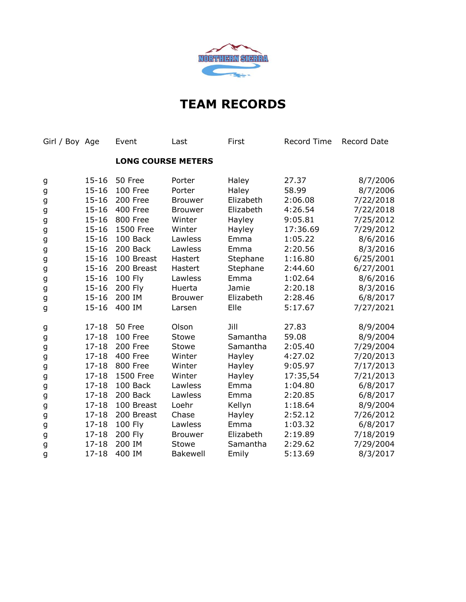

| Girl / Boy Age |           | Event                     | Last            | First     | Record Time | Record Date |
|----------------|-----------|---------------------------|-----------------|-----------|-------------|-------------|
|                |           | <b>LONG COURSE METERS</b> |                 |           |             |             |
| g              | $15 - 16$ | 50 Free                   | Porter          | Haley     | 27.37       | 8/7/2006    |
| g              | $15 - 16$ | 100 Free                  | Porter          | Haley     | 58.99       | 8/7/2006    |
| g              | $15 - 16$ | 200 Free                  | <b>Brouwer</b>  | Elizabeth | 2:06.08     | 7/22/2018   |
| g              | $15 - 16$ | <b>400 Free</b>           | <b>Brouwer</b>  | Elizabeth | 4:26.54     | 7/22/2018   |
| g              | $15 - 16$ | 800 Free                  | Winter          | Hayley    | 9:05.81     | 7/25/2012   |
| g              | $15 - 16$ | 1500 Free                 | Winter          | Hayley    | 17:36.69    | 7/29/2012   |
| g              | $15 - 16$ | 100 Back                  | Lawless         | Emma      | 1:05.22     | 8/6/2016    |
| g              | $15 - 16$ | 200 Back                  | Lawless         | Emma      | 2:20.56     | 8/3/2016    |
| g              | $15 - 16$ | 100 Breast                | Hastert         | Stephane  | 1:16.80     | 6/25/2001   |
| g              | $15 - 16$ | 200 Breast                | Hastert         | Stephane  | 2:44.60     | 6/27/2001   |
| g              | $15 - 16$ | 100 Fly                   | Lawless         | Emma      | 1:02.64     | 8/6/2016    |
| g              | $15 - 16$ | 200 Fly                   | Huerta          | Jamie     | 2:20.18     | 8/3/2016    |
| g              | $15 - 16$ | 200 IM                    | <b>Brouwer</b>  | Elizabeth | 2:28.46     | 6/8/2017    |
| g              | $15 - 16$ | 400 IM                    | Larsen          | Elle      | 5:17.67     | 7/27/2021   |
| g              | $17 - 18$ | 50 Free                   | Olson           | Jill      | 27.83       | 8/9/2004    |
| g              | $17 - 18$ | 100 Free                  | Stowe           | Samantha  | 59.08       | 8/9/2004    |
| g              | $17 - 18$ | 200 Free                  | Stowe           | Samantha  | 2:05.40     | 7/29/2004   |
| g              | $17 - 18$ | 400 Free                  | Winter          | Hayley    | 4:27.02     | 7/20/2013   |
| g              | $17 - 18$ | <b>800 Free</b>           | Winter          | Hayley    | 9:05.97     | 7/17/2013   |
| g              | $17 - 18$ | 1500 Free                 | Winter          | Hayley    | 17:35,54    | 7/21/2013   |
| g              | $17 - 18$ | 100 Back                  | Lawless         | Emma      | 1:04.80     | 6/8/2017    |
| g              | $17 - 18$ | 200 Back                  | Lawless         | Emma      | 2:20.85     | 6/8/2017    |
| g              | $17 - 18$ | 100 Breast                | Loehr           | Kellyn    | 1:18.64     | 8/9/2004    |
| g              | $17 - 18$ | 200 Breast                | Chase           | Hayley    | 2:52.12     | 7/26/2012   |
| g              | $17 - 18$ | 100 Fly                   | Lawless         | Emma      | 1:03.32     | 6/8/2017    |
| g              | $17 - 18$ | 200 Fly                   | <b>Brouwer</b>  | Elizabeth | 2:19.89     | 7/18/2019   |
| g              | $17 - 18$ | 200 IM                    | Stowe           | Samantha  | 2:29.62     | 7/29/2004   |
| g              | $17 - 18$ | 400 IM                    | <b>Bakewell</b> | Emily     | 5:13.69     | 8/3/2017    |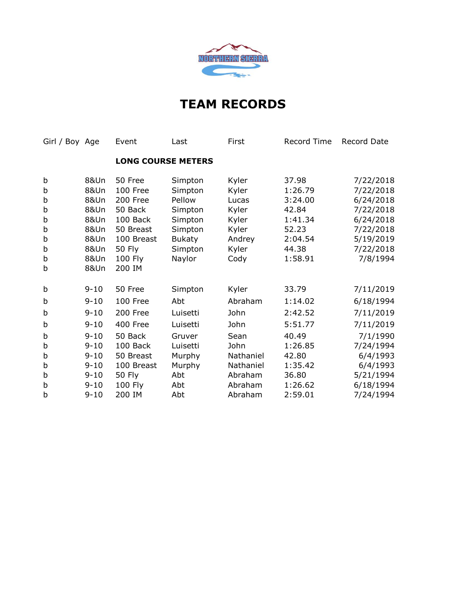

| Girl / Boy Age |                 | Event         | Last                      | First     | <b>Record Time</b> | Record Date |
|----------------|-----------------|---------------|---------------------------|-----------|--------------------|-------------|
|                |                 |               | <b>LONG COURSE METERS</b> |           |                    |             |
| b              | <b>8&amp;Un</b> | 50 Free       | Simpton                   | Kyler     | 37.98              | 7/22/2018   |
| b              | <b>8&amp;Un</b> | 100 Free      | Simpton                   | Kyler     | 1:26.79            | 7/22/2018   |
| b              | <b>8&amp;Un</b> | 200 Free      | Pellow                    | Lucas     | 3:24.00            | 6/24/2018   |
| b              | 8&Un            | 50 Back       | Simpton                   | Kyler     | 42.84              | 7/22/2018   |
| b              | 8&Un            | 100 Back      | Simpton                   | Kyler     | 1:41.34            | 6/24/2018   |
| b              | 8&Un            | 50 Breast     | Simpton                   | Kyler     | 52.23              | 7/22/2018   |
| b              | 8&Un            | 100 Breast    | <b>Bukaty</b>             | Andrey    | 2:04.54            | 5/19/2019   |
| b              | 8&Un            | <b>50 Fly</b> | Simpton                   | Kyler     | 44.38              | 7/22/2018   |
| b              | 8&Un            | 100 Fly       | Naylor                    | Cody      | 1:58.91            | 7/8/1994    |
| b              | 8&Un            | 200 IM        |                           |           |                    |             |
| b              | $9 - 10$        | 50 Free       | Simpton                   | Kyler     | 33.79              | 7/11/2019   |
| b              | $9 - 10$        | 100 Free      | Abt                       | Abraham   | 1:14.02            | 6/18/1994   |
| b              | $9 - 10$        | 200 Free      | Luisetti                  | John      | 2:42.52            | 7/11/2019   |
| b              | $9 - 10$        | 400 Free      | Luisetti                  | John      | 5:51.77            | 7/11/2019   |
| b              | $9 - 10$        | 50 Back       | Gruver                    | Sean      | 40.49              | 7/1/1990    |
| b              | $9 - 10$        | 100 Back      | Luisetti                  | John      | 1:26.85            | 7/24/1994   |
| b              | $9 - 10$        | 50 Breast     | Murphy                    | Nathaniel | 42.80              | 6/4/1993    |
| b              | $9 - 10$        | 100 Breast    | Murphy                    | Nathaniel | 1:35.42            | 6/4/1993    |
| b              | $9 - 10$        | 50 Fly        | Abt                       | Abraham   | 36.80              | 5/21/1994   |
| b              | $9 - 10$        | 100 Fly       | Abt                       | Abraham   | 1:26.62            | 6/18/1994   |
| b              | $9 - 10$        | 200 IM        | Abt                       | Abraham   | 2:59.01            | 7/24/1994   |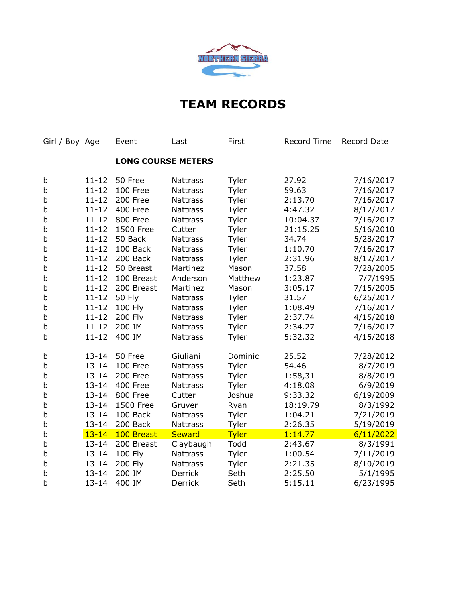

| Girl / Boy Age |           | Event                     | Last            | First        | Record Time | Record Date |
|----------------|-----------|---------------------------|-----------------|--------------|-------------|-------------|
|                |           | <b>LONG COURSE METERS</b> |                 |              |             |             |
| b              | $11 - 12$ | 50 Free                   | <b>Nattrass</b> | Tyler        | 27.92       | 7/16/2017   |
| b              | $11 - 12$ | 100 Free                  | <b>Nattrass</b> | Tyler        | 59.63       | 7/16/2017   |
| b              | $11 - 12$ | 200 Free                  | <b>Nattrass</b> | Tyler        | 2:13.70     | 7/16/2017   |
| b              | $11 - 12$ | 400 Free                  | <b>Nattrass</b> | Tyler        | 4:47.32     | 8/12/2017   |
| b              | $11 - 12$ | 800 Free                  | <b>Nattrass</b> | Tyler        | 10:04.37    | 7/16/2017   |
| b              | $11 - 12$ | 1500 Free                 | Cutter          | Tyler        | 21:15.25    | 5/16/2010   |
| b              | $11 - 12$ | 50 Back                   | <b>Nattrass</b> | Tyler        | 34.74       | 5/28/2017   |
| b              | $11 - 12$ | 100 Back                  | <b>Nattrass</b> | Tyler        | 1:10.70     | 7/16/2017   |
| b              | $11 - 12$ | 200 Back                  | <b>Nattrass</b> | Tyler        | 2:31.96     | 8/12/2017   |
| b              | $11 - 12$ | 50 Breast                 | Martinez        | Mason        | 37.58       | 7/28/2005   |
| b              | $11 - 12$ | 100 Breast                | Anderson        | Matthew      | 1:23.87     | 7/7/1995    |
| b              | $11 - 12$ | 200 Breast                | Martinez        | Mason        | 3:05.17     | 7/15/2005   |
| b              | $11 - 12$ | <b>50 Fly</b>             | <b>Nattrass</b> | Tyler        | 31.57       | 6/25/2017   |
| b              | $11 - 12$ | 100 Fly                   | Nattrass        | Tyler        | 1:08.49     | 7/16/2017   |
| b              | $11 - 12$ | 200 Fly                   | <b>Nattrass</b> | Tyler        | 2:37.74     | 4/15/2018   |
| b              | $11 - 12$ | 200 IM                    | <b>Nattrass</b> | Tyler        | 2:34.27     | 7/16/2017   |
| b              | $11 - 12$ | 400 IM                    | Nattrass        | Tyler        | 5:32.32     | 4/15/2018   |
| b              | $13 - 14$ | 50 Free                   | Giuliani        | Dominic      | 25.52       | 7/28/2012   |
| b              | $13 - 14$ | 100 Free                  | <b>Nattrass</b> | Tyler        | 54.46       | 8/7/2019    |
| b              | $13 - 14$ | 200 Free                  | <b>Nattrass</b> | Tyler        | 1:58,31     | 8/8/2019    |
| b              | $13 - 14$ | 400 Free                  | <b>Nattrass</b> | Tyler        | 4:18.08     | 6/9/2019    |
| b              | $13 - 14$ | <b>800 Free</b>           | Cutter          | Joshua       | 9:33.32     | 6/19/2009   |
| b              | $13 - 14$ | 1500 Free                 | Gruver          | Ryan         | 18:19.79    | 8/3/1992    |
| b              | $13 - 14$ | 100 Back                  | <b>Nattrass</b> | Tyler        | 1:04.21     | 7/21/2019   |
| b              | $13 - 14$ | 200 Back                  | <b>Nattrass</b> | Tyler        | 2:26.35     | 5/19/2019   |
| b              | $13 - 14$ | 100 Breast                | <b>Seward</b>   | <b>Tyler</b> | 1:14.77     | 6/11/2022   |
| b              | $13 - 14$ | 200 Breast                | Claybaugh       | Todd         | 2:43.67     | 8/3/1991    |
| b              | $13 - 14$ | 100 Fly                   | <b>Nattrass</b> | Tyler        | 1:00.54     | 7/11/2019   |
| b              | $13 - 14$ | 200 Fly                   | Nattrass        | Tyler        | 2:21.35     | 8/10/2019   |
| b              | $13 - 14$ | 200 IM                    | <b>Derrick</b>  | Seth         | 2:25.50     | 5/1/1995    |
| b              | $13 - 14$ | 400 IM                    | Derrick         | Seth         | 5:15.11     | 6/23/1995   |